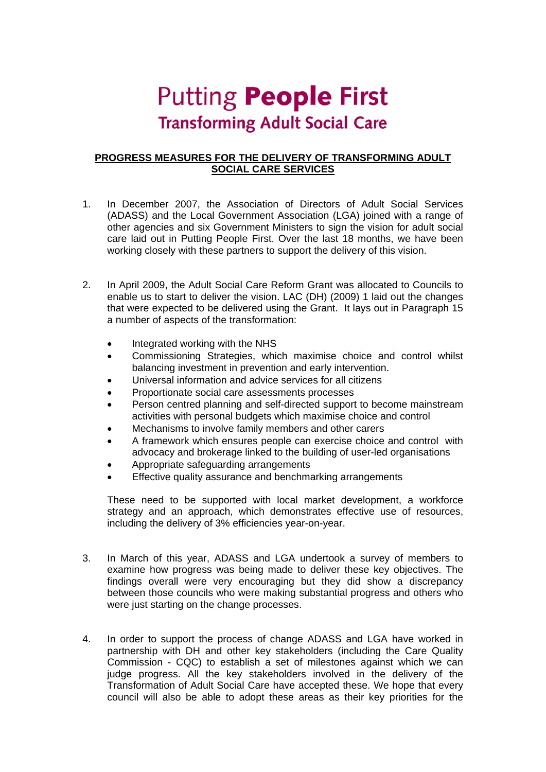## **Putting People First Transforming Adult Social Care**

## **PROGRESS MEASURES FOR THE DELIVERY OF TRANSFORMING ADULT SOCIAL CARE SERVICES**

- 1. In December 2007, the Association of Directors of Adult Social Services (ADASS) and the Local Government Association (LGA) joined with a range of other agencies and six Government Ministers to sign the vision for adult social care laid out in Putting People First. Over the last 18 months, we have been working closely with these partners to support the delivery of this vision.
- 2. In April 2009, the Adult Social Care Reform Grant was allocated to Councils to enable us to start to deliver the vision. LAC (DH) (2009) 1 laid out the changes that were expected to be delivered using the Grant. It lays out in Paragraph 15 a number of aspects of the transformation:
	- Integrated working with the NHS
	- Commissioning Strategies, which maximise choice and control whilst balancing investment in prevention and early intervention.
	- Universal information and advice services for all citizens
	- Proportionate social care assessments processes
	- Person centred planning and self-directed support to become mainstream activities with personal budgets which maximise choice and control
	- Mechanisms to involve family members and other carers
	- A framework which ensures people can exercise choice and control with advocacy and brokerage linked to the building of user-led organisations
	- Appropriate safeguarding arrangements
	- Effective quality assurance and benchmarking arrangements

These need to be supported with local market development, a workforce strategy and an approach, which demonstrates effective use of resources, including the delivery of 3% efficiencies year-on-year.

- 3. In March of this year, ADASS and LGA undertook a survey of members to examine how progress was being made to deliver these key objectives. The findings overall were very encouraging but they did show a discrepancy between those councils who were making substantial progress and others who were just starting on the change processes.
- 4. In order to support the process of change ADASS and LGA have worked in partnership with DH and other key stakeholders (including the Care Quality Commission - CQC) to establish a set of milestones against which we can judge progress. All the key stakeholders involved in the delivery of the Transformation of Adult Social Care have accepted these. We hope that every council will also be able to adopt these areas as their key priorities for the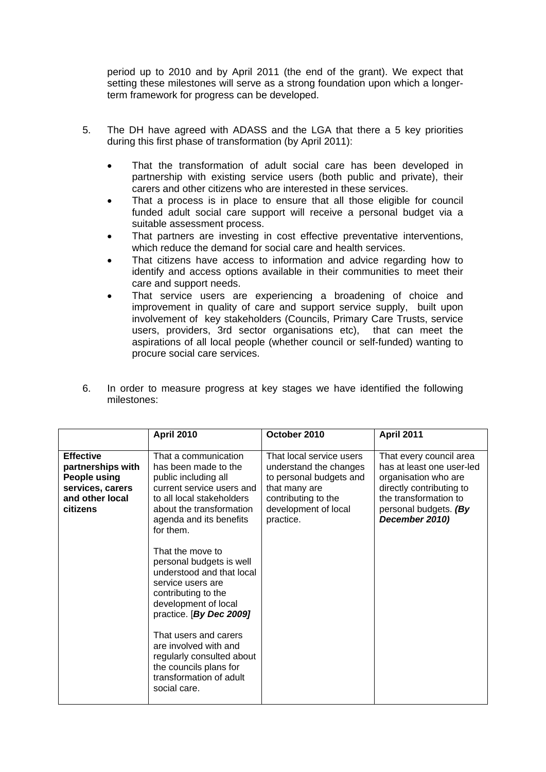period up to 2010 and by April 2011 (the end of the grant). We expect that setting these milestones will serve as a strong foundation upon which a longerterm framework for progress can be developed.

- 5. The DH have agreed with ADASS and the LGA that there a 5 key priorities during this first phase of transformation (by April 2011):
	- That the transformation of adult social care has been developed in partnership with existing service users (both public and private), their carers and other citizens who are interested in these services.
	- That a process is in place to ensure that all those eligible for council funded adult social care support will receive a personal budget via a suitable assessment process.
	- That partners are investing in cost effective preventative interventions, which reduce the demand for social care and health services.
	- That citizens have access to information and advice regarding how to identify and access options available in their communities to meet their care and support needs.
	- That service users are experiencing a broadening of choice and improvement in quality of care and support service supply, built upon involvement of key stakeholders (Councils, Primary Care Trusts, service users, providers, 3rd sector organisations etc), that can meet the aspirations of all local people (whether council or self-funded) wanting to procure social care services.
- 6. In order to measure progress at key stages we have identified the following milestones:

|                                                                                                          | <b>April 2010</b>                                                                                                                                                                                                                                                                                                                                                                                                                                                                                                                  | October 2010                                                                                                                                               | <b>April 2011</b>                                                                                                                                                            |
|----------------------------------------------------------------------------------------------------------|------------------------------------------------------------------------------------------------------------------------------------------------------------------------------------------------------------------------------------------------------------------------------------------------------------------------------------------------------------------------------------------------------------------------------------------------------------------------------------------------------------------------------------|------------------------------------------------------------------------------------------------------------------------------------------------------------|------------------------------------------------------------------------------------------------------------------------------------------------------------------------------|
| <b>Effective</b><br>partnerships with<br>People using<br>services, carers<br>and other local<br>citizens | That a communication<br>has been made to the<br>public including all<br>current service users and<br>to all local stakeholders<br>about the transformation<br>agenda and its benefits<br>for them.<br>That the move to<br>personal budgets is well<br>understood and that local<br>service users are<br>contributing to the<br>development of local<br>practice. [By Dec 2009]<br>That users and carers<br>are involved with and<br>regularly consulted about<br>the councils plans for<br>transformation of adult<br>social care. | That local service users<br>understand the changes<br>to personal budgets and<br>that many are<br>contributing to the<br>development of local<br>practice. | That every council area<br>has at least one user-led<br>organisation who are<br>directly contributing to<br>the transformation to<br>personal budgets. (By<br>December 2010) |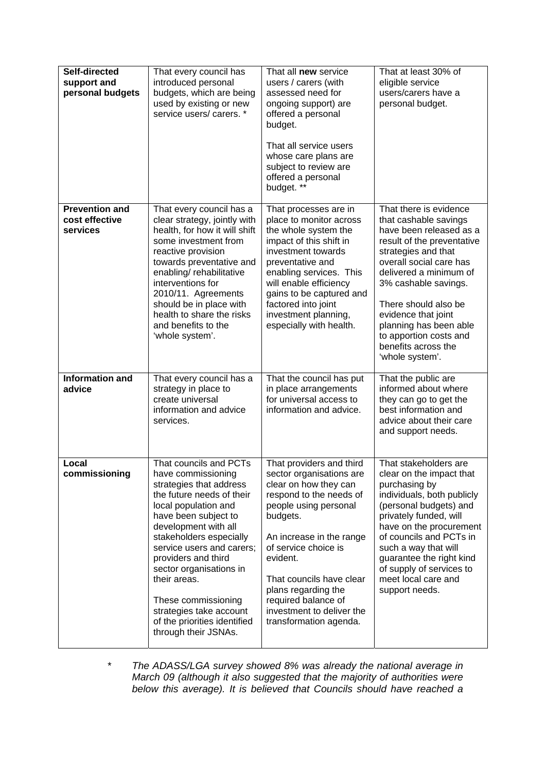| Self-directed                                       | That every council has                                                                                                                                                                                                                                                                                                                                                                                           | That all new service                                                                                                                                                                                                                                                                                                                           | That at least 30% of                                                                                                                                                                                                                                                                                                                                      |
|-----------------------------------------------------|------------------------------------------------------------------------------------------------------------------------------------------------------------------------------------------------------------------------------------------------------------------------------------------------------------------------------------------------------------------------------------------------------------------|------------------------------------------------------------------------------------------------------------------------------------------------------------------------------------------------------------------------------------------------------------------------------------------------------------------------------------------------|-----------------------------------------------------------------------------------------------------------------------------------------------------------------------------------------------------------------------------------------------------------------------------------------------------------------------------------------------------------|
| support and<br>personal budgets                     | introduced personal<br>budgets, which are being<br>used by existing or new<br>service users/carers.*                                                                                                                                                                                                                                                                                                             | users / carers (with<br>assessed need for<br>ongoing support) are<br>offered a personal<br>budget.                                                                                                                                                                                                                                             | eligible service<br>users/carers have a<br>personal budget.                                                                                                                                                                                                                                                                                               |
|                                                     |                                                                                                                                                                                                                                                                                                                                                                                                                  | That all service users<br>whose care plans are<br>subject to review are<br>offered a personal<br>budget. **                                                                                                                                                                                                                                    |                                                                                                                                                                                                                                                                                                                                                           |
| <b>Prevention and</b><br>cost effective<br>services | That every council has a<br>clear strategy, jointly with<br>health, for how it will shift<br>some investment from<br>reactive provision<br>towards preventative and<br>enabling/rehabilitative<br>interventions for<br>2010/11. Agreements<br>should be in place with<br>health to share the risks<br>and benefits to the<br>'whole system'.                                                                     | That processes are in<br>place to monitor across<br>the whole system the<br>impact of this shift in<br>investment towards<br>preventative and<br>enabling services. This<br>will enable efficiency<br>gains to be captured and<br>factored into joint<br>investment planning,<br>especially with health.                                       | That there is evidence<br>that cashable savings<br>have been released as a<br>result of the preventative<br>strategies and that<br>overall social care has<br>delivered a minimum of<br>3% cashable savings.<br>There should also be<br>evidence that joint<br>planning has been able<br>to apportion costs and<br>benefits across the<br>'whole system'. |
| Information and<br>advice                           | That every council has a<br>strategy in place to<br>create universal<br>information and advice<br>services.                                                                                                                                                                                                                                                                                                      | That the council has put<br>in place arrangements<br>for universal access to<br>information and advice.                                                                                                                                                                                                                                        | That the public are<br>informed about where<br>they can go to get the<br>best information and<br>advice about their care<br>and support needs.                                                                                                                                                                                                            |
| Local<br>commissioning                              | That councils and PCTs<br>have commissioning<br>strategies that address<br>the future needs of their<br>local population and<br>have been subject to<br>development with all<br>stakeholders especially<br>service users and carers;<br>providers and third<br>sector organisations in<br>their areas.<br>These commissioning<br>strategies take account<br>of the priorities identified<br>through their JSNAs. | That providers and third<br>sector organisations are<br>clear on how they can<br>respond to the needs of<br>people using personal<br>budgets.<br>An increase in the range<br>of service choice is<br>evident.<br>That councils have clear<br>plans regarding the<br>required balance of<br>investment to deliver the<br>transformation agenda. | That stakeholders are<br>clear on the impact that<br>purchasing by<br>individuals, both publicly<br>(personal budgets) and<br>privately funded, will<br>have on the procurement<br>of councils and PCTs in<br>such a way that will<br>guarantee the right kind<br>of supply of services to<br>meet local care and<br>support needs.                       |

*\* The ADASS/LGA survey showed 8% was already the national average in March 09 (although it also suggested that the majority of authorities were below this average). It is believed that Councils should have reached a*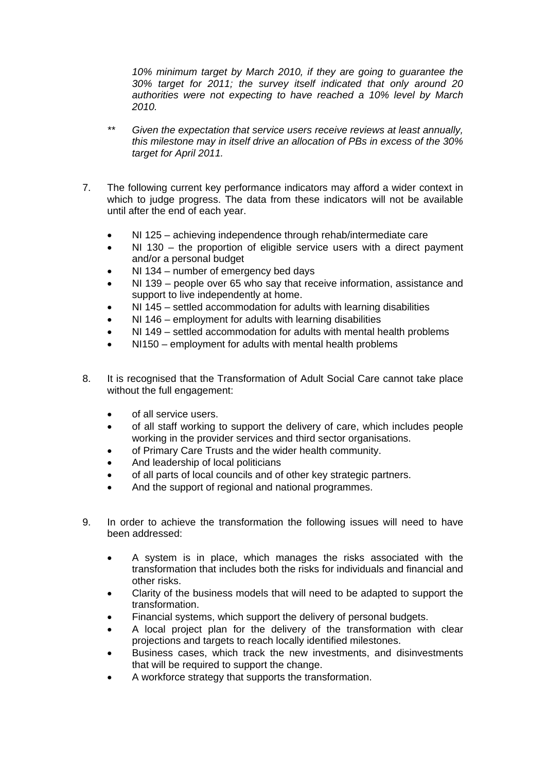*10% minimum target by March 2010, if they are going to guarantee the 30% target for 2011; the survey itself indicated that only around 20 authorities were not expecting to have reached a 10% level by March 2010.* 

- *\*\* Given the expectation that service users receive reviews at least annually, this milestone may in itself drive an allocation of PBs in excess of the 30% target for April 2011.*
- 7. The following current key performance indicators may afford a wider context in which to judge progress. The data from these indicators will not be available until after the end of each year.
	- NI 125 achieving independence through rehab/intermediate care
	- $NI$  130 the proportion of eligible service users with a direct payment and/or a personal budget
	- NI 134 number of emergency bed days
	- NI 139 people over 65 who say that receive information, assistance and support to live independently at home.
	- NI 145 settled accommodation for adults with learning disabilities
	- NI 146 employment for adults with learning disabilities
	- NI 149 settled accommodation for adults with mental health problems
	- NI150 employment for adults with mental health problems
- 8. It is recognised that the Transformation of Adult Social Care cannot take place without the full engagement:
	- of all service users.
	- of all staff working to support the delivery of care, which includes people working in the provider services and third sector organisations.
	- of Primary Care Trusts and the wider health community.
	- And leadership of local politicians
	- of all parts of local councils and of other key strategic partners.
	- And the support of regional and national programmes.
- 9. In order to achieve the transformation the following issues will need to have been addressed:
	- A system is in place, which manages the risks associated with the transformation that includes both the risks for individuals and financial and other risks.
	- Clarity of the business models that will need to be adapted to support the transformation.
	- Financial systems, which support the delivery of personal budgets.
	- A local project plan for the delivery of the transformation with clear projections and targets to reach locally identified milestones.
	- Business cases, which track the new investments, and disinvestments that will be required to support the change.
	- A workforce strategy that supports the transformation.